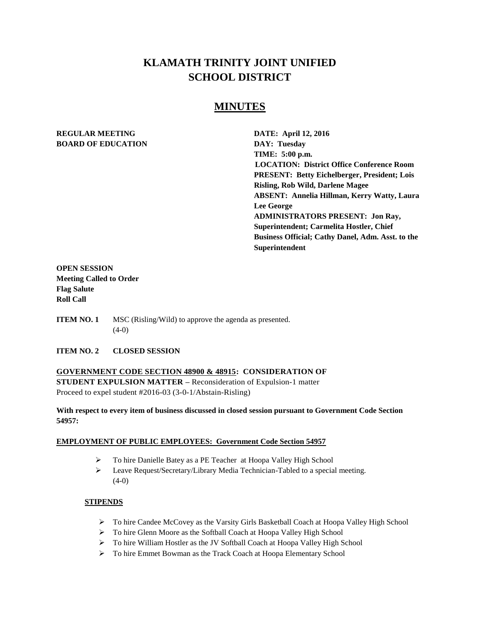# **KLAMATH TRINITY JOINT UNIFIED SCHOOL DISTRICT**

# **MINUTES**

# **REGULAR MEETING DATE: April 12, 2016 BOARD OF EDUCATION DAY: Tuesday**

**TIME: 5:00 p.m. LOCATION: District Office Conference Room PRESENT: Betty Eichelberger, President; Lois Risling, Rob Wild, Darlene Magee ABSENT: Annelia Hillman, Kerry Watty, Laura Lee George ADMINISTRATORS PRESENT: Jon Ray, Superintendent; Carmelita Hostler, Chief Business Official; Cathy Danel, Adm. Asst. to the Superintendent**

# **OPEN SESSION Meeting Called to Order Flag Salute Roll Call**

**ITEM NO. 1** MSC (Risling/Wild) to approve the agenda as presented.  $(4-0)$ 

### **ITEM NO. 2 CLOSED SESSION**

**GOVERNMENT CODE SECTION 48900 & 48915: CONSIDERATION OF STUDENT EXPULSION MATTER –** Reconsideration of Expulsion-1 matter Proceed to expel student #2016-03 (3-0-1/Abstain-Risling)

# **With respect to every item of business discussed in closed session pursuant to Government Code Section 54957:**

### **EMPLOYMENT OF PUBLIC EMPLOYEES: Government Code Section 54957**

- To hire Danielle Batey as a PE Teacher at Hoopa Valley High School
- Leave Request/Secretary/Library Media Technician-Tabled to a special meeting.  $(4-0)$

# **STIPENDS**

- To hire Candee McCovey as the Varsity Girls Basketball Coach at Hoopa Valley High School
- > To hire Glenn Moore as the Softball Coach at Hoopa Valley High School
- > To hire William Hostler as the JV Softball Coach at Hoopa Valley High School
- To hire Emmet Bowman as the Track Coach at Hoopa Elementary School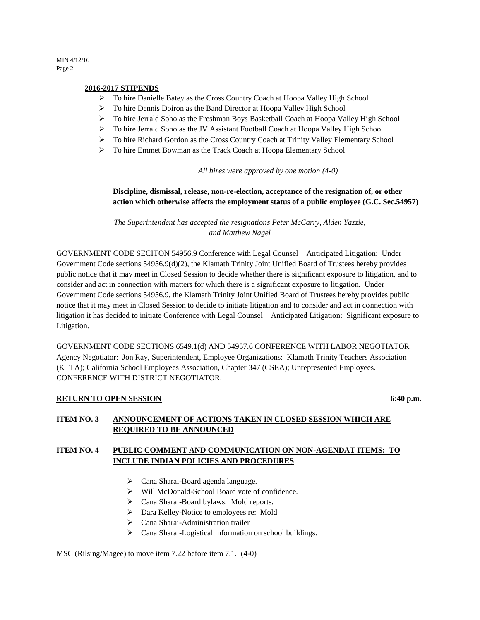#### **2016-2017 STIPENDS**

- To hire Danielle Batey as the Cross Country Coach at Hoopa Valley High School
- > To hire Dennis Doiron as the Band Director at Hoopa Valley High School
- To hire Jerrald Soho as the Freshman Boys Basketball Coach at Hoopa Valley High School
- > To hire Jerrald Soho as the JV Assistant Football Coach at Hoopa Valley High School
- To hire Richard Gordon as the Cross Country Coach at Trinity Valley Elementary School
- To hire Emmet Bowman as the Track Coach at Hoopa Elementary School

*All hires were approved by one motion (4-0)*

## **Discipline, dismissal, release, non-re-election, acceptance of the resignation of, or other action which otherwise affects the employment status of a public employee (G.C. Sec.54957)**

*The Superintendent has accepted the resignations Peter McCarry, Alden Yazzie, and Matthew Nagel* 

GOVERNMENT CODE SECITON 54956.9 Conference with Legal Counsel – Anticipated Litigation: Under Government Code sections 54956.9(d)(2), the Klamath Trinity Joint Unified Board of Trustees hereby provides public notice that it may meet in Closed Session to decide whether there is significant exposure to litigation, and to consider and act in connection with matters for which there is a significant exposure to litigation. Under Government Code sections 54956.9, the Klamath Trinity Joint Unified Board of Trustees hereby provides public notice that it may meet in Closed Session to decide to initiate litigation and to consider and act in connection with litigation it has decided to initiate Conference with Legal Counsel – Anticipated Litigation: Significant exposure to Litigation.

GOVERNMENT CODE SECTIONS 6549.1(d) AND 54957.6 CONFERENCE WITH LABOR NEGOTIATOR Agency Negotiator: Jon Ray, Superintendent, Employee Organizations: Klamath Trinity Teachers Association (KTTA); California School Employees Association, Chapter 347 (CSEA); Unrepresented Employees. CONFERENCE WITH DISTRICT NEGOTIATOR:

#### **RETURN TO OPEN SESSION** 6:40 p.m.

### **ITEM NO. 3 ANNOUNCEMENT OF ACTIONS TAKEN IN CLOSED SESSION WHICH ARE REQUIRED TO BE ANNOUNCED**

# **ITEM NO. 4 PUBLIC COMMENT AND COMMUNICATION ON NON-AGENDAT ITEMS: TO INCLUDE INDIAN POLICIES AND PROCEDURES**

- Cana Sharai-Board agenda language.
- Will McDonald-School Board vote of confidence.
- Cana Sharai-Board bylaws. Mold reports.
- Dara Kelley-Notice to employees re: Mold
- Cana Sharai-Administration trailer
- $\triangleright$  Cana Sharai-Logistical information on school buildings.

#### MSC (Rilsing/Magee) to move item 7.22 before item 7.1. (4-0)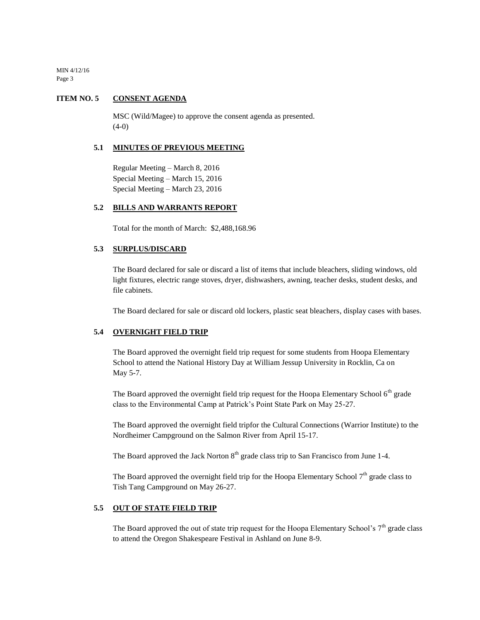### **ITEM NO. 5 CONSENT AGENDA**

MSC (Wild/Magee) to approve the consent agenda as presented.  $(4-0)$ 

#### **5.1 MINUTES OF PREVIOUS MEETING**

Regular Meeting – March 8, 2016 Special Meeting – March 15, 2016 Special Meeting – March 23, 2016

### **5.2 BILLS AND WARRANTS REPORT**

Total for the month of March: \$2,488,168.96

### **5.3 SURPLUS/DISCARD**

The Board declared for sale or discard a list of items that include bleachers, sliding windows, old light fixtures, electric range stoves, dryer, dishwashers, awning, teacher desks, student desks, and file cabinets.

The Board declared for sale or discard old lockers, plastic seat bleachers, display cases with bases.

### **5.4 OVERNIGHT FIELD TRIP**

The Board approved the overnight field trip request for some students from Hoopa Elementary School to attend the National History Day at William Jessup University in Rocklin, Ca on May 5-7.

The Board approved the overnight field trip request for the Hoopa Elementary School  $6<sup>th</sup>$  grade class to the Environmental Camp at Patrick's Point State Park on May 25-27.

The Board approved the overnight field tripfor the Cultural Connections (Warrior Institute) to the Nordheimer Campground on the Salmon River from April 15-17.

The Board approved the Jack Norton  $8<sup>th</sup>$  grade class trip to San Francisco from June 1-4.

The Board approved the overnight field trip for the Hoopa Elementary School  $7<sup>th</sup>$  grade class to Tish Tang Campground on May 26-27.

#### **5.5 OUT OF STATE FIELD TRIP**

The Board approved the out of state trip request for the Hoopa Elementary School's  $7<sup>th</sup>$  grade class to attend the Oregon Shakespeare Festival in Ashland on June 8-9.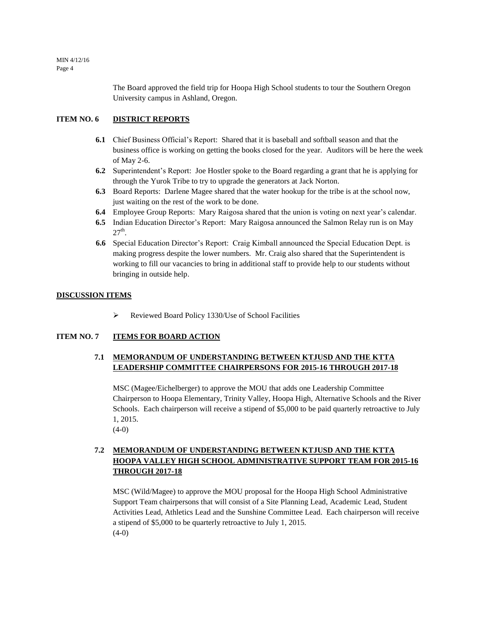> The Board approved the field trip for Hoopa High School students to tour the Southern Oregon University campus in Ashland, Oregon.

# **ITEM NO. 6 DISTRICT REPORTS**

- **6.1** Chief Business Official's Report: Shared that it is baseball and softball season and that the business office is working on getting the books closed for the year. Auditors will be here the week of May 2-6.
- **6.2** Superintendent's Report: Joe Hostler spoke to the Board regarding a grant that he is applying for through the Yurok Tribe to try to upgrade the generators at Jack Norton.
- **6.3** Board Reports: Darlene Magee shared that the water hookup for the tribe is at the school now, just waiting on the rest of the work to be done.
- **6.4** Employee Group Reports: Mary Raigosa shared that the union is voting on next year's calendar.
- **6.5** Indian Education Director's Report: Mary Raigosa announced the Salmon Relay run is on May  $27<sup>th</sup>$ .
- **6.6** Special Education Director's Report: Craig Kimball announced the Special Education Dept. is making progress despite the lower numbers. Mr. Craig also shared that the Superintendent is working to fill our vacancies to bring in additional staff to provide help to our students without bringing in outside help.

### **DISCUSSION ITEMS**

Reviewed Board Policy 1330/Use of School Facilities

### **ITEM NO. 7 ITEMS FOR BOARD ACTION**

# **7.1 MEMORANDUM OF UNDERSTANDING BETWEEN KTJUSD AND THE KTTA LEADERSHIP COMMITTEE CHAIRPERSONS FOR 2015-16 THROUGH 2017-18**

MSC (Magee/Eichelberger) to approve the MOU that adds one Leadership Committee Chairperson to Hoopa Elementary, Trinity Valley, Hoopa High, Alternative Schools and the River Schools. Each chairperson will receive a stipend of \$5,000 to be paid quarterly retroactive to July 1, 2015.

 $(4-0)$ 

# **7.2 MEMORANDUM OF UNDERSTANDING BETWEEN KTJUSD AND THE KTTA HOOPA VALLEY HIGH SCHOOL ADMINISTRATIVE SUPPORT TEAM FOR 2015-16 THROUGH 2017-18**

MSC (Wild/Magee) to approve the MOU proposal for the Hoopa High School Administrative Support Team chairpersons that will consist of a Site Planning Lead, Academic Lead, Student Activities Lead, Athletics Lead and the Sunshine Committee Lead. Each chairperson will receive a stipend of \$5,000 to be quarterly retroactive to July 1, 2015.  $(4-0)$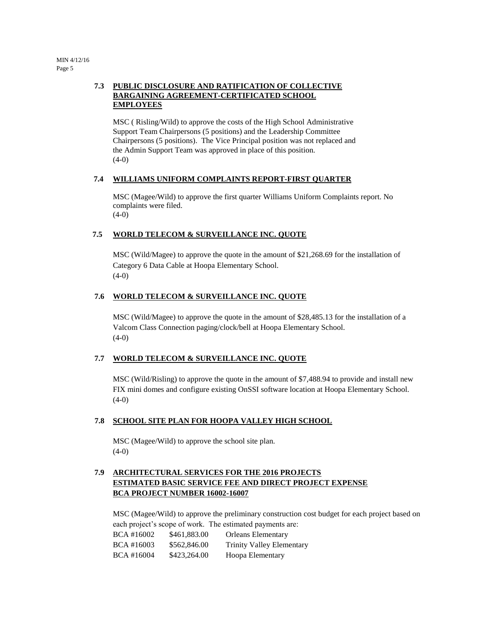# **7.3 PUBLIC DISCLOSURE AND RATIFICATION OF COLLECTIVE BARGAINING AGREEMENT-CERTIFICATED SCHOOL EMPLOYEES**

MSC ( Risling/Wild) to approve the costs of the High School Administrative Support Team Chairpersons (5 positions) and the Leadership Committee Chairpersons (5 positions). The Vice Principal position was not replaced and the Admin Support Team was approved in place of this position. (4-0)

# **7.4 WILLIAMS UNIFORM COMPLAINTS REPORT-FIRST QUARTER**

MSC (Magee/Wild) to approve the first quarter Williams Uniform Complaints report. No complaints were filed.  $(4-0)$ 

# **7.5 WORLD TELECOM & SURVEILLANCE INC. QUOTE**

MSC (Wild/Magee) to approve the quote in the amount of \$21,268.69 for the installation of Category 6 Data Cable at Hoopa Elementary School.  $(4-0)$ 

# **7.6 WORLD TELECOM & SURVEILLANCE INC. QUOTE**

MSC (Wild/Magee) to approve the quote in the amount of \$28,485.13 for the installation of a Valcom Class Connection paging/clock/bell at Hoopa Elementary School. (4-0)

### **7.7 WORLD TELECOM & SURVEILLANCE INC. QUOTE**

MSC (Wild/Risling) to approve the quote in the amount of \$7,488.94 to provide and install new FIX mini domes and configure existing OnSSI software location at Hoopa Elementary School.  $(4-0)$ 

### **7.8 SCHOOL SITE PLAN FOR HOOPA VALLEY HIGH SCHOOL**

MSC (Magee/Wild) to approve the school site plan. (4-0)

# **7.9 ARCHITECTURAL SERVICES FOR THE 2016 PROJECTS ESTIMATED BASIC SERVICE FEE AND DIRECT PROJECT EXPENSE BCA PROJECT NUMBER 16002-16007**

MSC (Magee/Wild) to approve the preliminary construction cost budget for each project based on each project's scope of work. The estimated payments are:

| BCA #16002 | \$461,883.00 | <b>Orleans Elementary</b>        |
|------------|--------------|----------------------------------|
| BCA #16003 | \$562,846.00 | <b>Trinity Valley Elementary</b> |
| BCA #16004 | \$423,264.00 | Hoopa Elementary                 |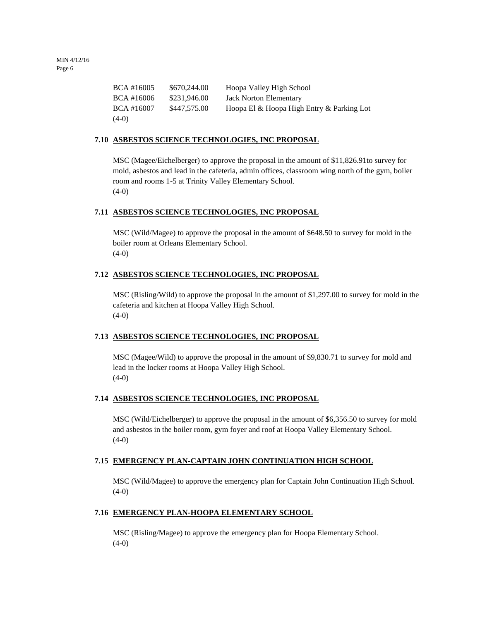| BCA #16005 | \$670,244.00 | Hoopa Valley High School                  |
|------------|--------------|-------------------------------------------|
| BCA #16006 | \$231.946.00 | <b>Jack Norton Elementary</b>             |
| BCA #16007 | \$447,575.00 | Hoopa El & Hoopa High Entry & Parking Lot |
| $(4-0)$    |              |                                           |

### **7.10 ASBESTOS SCIENCE TECHNOLOGIES, INC PROPOSAL**

MSC (Magee/Eichelberger) to approve the proposal in the amount of \$11,826.91to survey for mold, asbestos and lead in the cafeteria, admin offices, classroom wing north of the gym, boiler room and rooms 1-5 at Trinity Valley Elementary School.  $(4-0)$ 

### **7.11 ASBESTOS SCIENCE TECHNOLOGIES, INC PROPOSAL**

MSC (Wild/Magee) to approve the proposal in the amount of \$648.50 to survey for mold in the boiler room at Orleans Elementary School.  $(4-0)$ 

### **7.12 ASBESTOS SCIENCE TECHNOLOGIES, INC PROPOSAL**

MSC (Risling/Wild) to approve the proposal in the amount of \$1,297.00 to survey for mold in the cafeteria and kitchen at Hoopa Valley High School.  $(4-0)$ 

#### **7.13 ASBESTOS SCIENCE TECHNOLOGIES, INC PROPOSAL**

MSC (Magee/Wild) to approve the proposal in the amount of \$9,830.71 to survey for mold and lead in the locker rooms at Hoopa Valley High School.  $(4-0)$ 

### **7.14 ASBESTOS SCIENCE TECHNOLOGIES, INC PROPOSAL**

MSC (Wild/Eichelberger) to approve the proposal in the amount of \$6,356.50 to survey for mold and asbestos in the boiler room, gym foyer and roof at Hoopa Valley Elementary School. (4-0)

### **7.15 EMERGENCY PLAN-CAPTAIN JOHN CONTINUATION HIGH SCHOOL**

MSC (Wild/Magee) to approve the emergency plan for Captain John Continuation High School.  $(4-0)$ 

#### **7.16 EMERGENCY PLAN-HOOPA ELEMENTARY SCHOOL**

MSC (Risling/Magee) to approve the emergency plan for Hoopa Elementary School.  $(4-0)$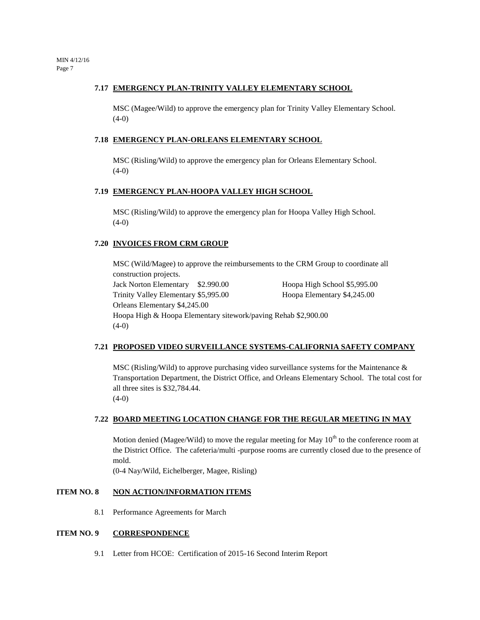#### **7.17 EMERGENCY PLAN-TRINITY VALLEY ELEMENTARY SCHOOL**

MSC (Magee/Wild) to approve the emergency plan for Trinity Valley Elementary School.  $(4-0)$ 

#### **7.18 EMERGENCY PLAN-ORLEANS ELEMENTARY SCHOOL**

MSC (Risling/Wild) to approve the emergency plan for Orleans Elementary School.  $(4-0)$ 

### **7.19 EMERGENCY PLAN-HOOPA VALLEY HIGH SCHOOL**

MSC (Risling/Wild) to approve the emergency plan for Hoopa Valley High School.  $(4-0)$ 

### **7.20 INVOICES FROM CRM GROUP**

MSC (Wild/Magee) to approve the reimbursements to the CRM Group to coordinate all construction projects. Jack Norton Elementary \$2.990.00 Hoopa High School \$5,995.00 Trinity Valley Elementary \$5,995.00 Hoopa Elementary \$4,245.00 Orleans Elementary \$4,245.00 Hoopa High & Hoopa Elementary sitework/paving Rehab \$2,900.00  $(4-0)$ 

### **7.21 PROPOSED VIDEO SURVEILLANCE SYSTEMS-CALIFORNIA SAFETY COMPANY**

MSC (Risling/Wild) to approve purchasing video surveillance systems for the Maintenance  $\&$ Transportation Department, the District Office, and Orleans Elementary School. The total cost for all three sites is \$32,784.44.  $(4-0)$ 

### **7.22 BOARD MEETING LOCATION CHANGE FOR THE REGULAR MEETING IN MAY**

Motion denied (Magee/Wild) to move the regular meeting for May  $10<sup>th</sup>$  to the conference room at the District Office. The cafeteria/multi -purpose rooms are currently closed due to the presence of mold.

(0-4 Nay/Wild, Eichelberger, Magee, Risling)

## **ITEM NO. 8 NON ACTION/INFORMATION ITEMS**

8.1 Performance Agreements for March

### **ITEM NO. 9 CORRESPONDENCE**

9.1 Letter from HCOE: Certification of 2015-16 Second Interim Report